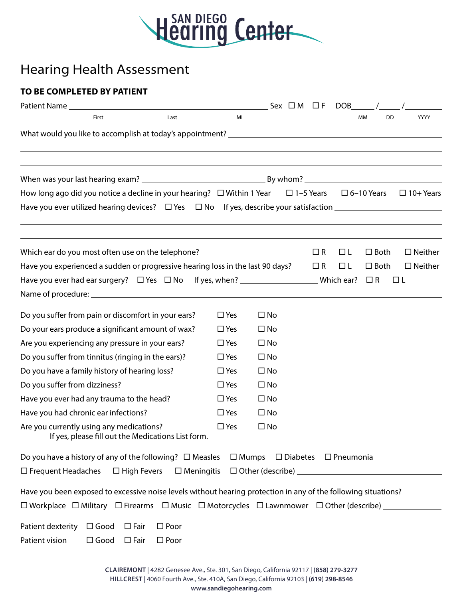

## Hearing Health Assessment

## **TO BE COMPLETED BY PATIENT**

|                                                                                                                                                                           |               | Sex $\Box$ M $\Box$ F            |          | DOB      |                                    |                  |  |
|---------------------------------------------------------------------------------------------------------------------------------------------------------------------------|---------------|----------------------------------|----------|----------|------------------------------------|------------------|--|
| Last<br>First                                                                                                                                                             | MI            |                                  |          |          | DD<br>MM                           | <b>YYYY</b>      |  |
|                                                                                                                                                                           |               |                                  |          |          |                                    |                  |  |
|                                                                                                                                                                           |               |                                  |          |          |                                    |                  |  |
|                                                                                                                                                                           |               |                                  |          |          |                                    |                  |  |
| How long ago did you notice a decline in your hearing? $\Box$ Within 1 Year                                                                                               |               |                                  |          |          | $\Box$ 1-5 Years $\Box$ 6-10 Years | $\Box$ 10+ Years |  |
|                                                                                                                                                                           |               |                                  |          |          |                                    |                  |  |
| Which ear do you most often use on the telephone?                                                                                                                         |               |                                  | $\Box$ R | $\Box L$ | $\Box$ Both                        | $\Box$ Neither   |  |
| Have you experienced a sudden or progressive hearing loss in the last 90 days?                                                                                            |               |                                  | $\Box$ R | $\Box L$ | $\square$ Both                     | $\Box$ Neither   |  |
|                                                                                                                                                                           |               |                                  |          |          | $\Box$ R                           | $\Box L$         |  |
|                                                                                                                                                                           |               |                                  |          |          |                                    |                  |  |
| Do you suffer from pain or discomfort in your ears?                                                                                                                       | $\square$ Yes | $\square$ No                     |          |          |                                    |                  |  |
| Do your ears produce a significant amount of wax?                                                                                                                         | $\square$ Yes | $\square$ No                     |          |          |                                    |                  |  |
| Are you experiencing any pressure in your ears?                                                                                                                           | $\square$ Yes | $\square$ No                     |          |          |                                    |                  |  |
| Do you suffer from tinnitus (ringing in the ears)?                                                                                                                        | $\square$ Yes | $\square$ No                     |          |          |                                    |                  |  |
| Do you have a family history of hearing loss?                                                                                                                             | $\square$ Yes | $\square$ No                     |          |          |                                    |                  |  |
| Do you suffer from dizziness?                                                                                                                                             | $\square$ Yes | $\square$ No                     |          |          |                                    |                  |  |
| Have you ever had any trauma to the head?                                                                                                                                 | $\square$ Yes | $\square$ No                     |          |          |                                    |                  |  |
| Have you had chronic ear infections?                                                                                                                                      | $\square$ Yes | $\square$ No                     |          |          |                                    |                  |  |
| Are you currently using any medications?<br>If yes, please fill out the Medications List form.                                                                            | $\square$ Yes | $\square$ No                     |          |          |                                    |                  |  |
| Do you have a history of any of the following? $\Box$ Measles                                                                                                             | $\Box$ Mumps  | $\Box$ Diabetes $\Box$ Pneumonia |          |          |                                    |                  |  |
| $\Box$ Frequent Headaches<br>$\Box$ High Fevers<br>$\square$ Meningitis                                                                                                   |               | $\Box$ Other (describe) $\Box$   |          |          |                                    |                  |  |
| Have you been exposed to excessive noise levels without hearing protection in any of the following situations?                                                            |               |                                  |          |          |                                    |                  |  |
| $\square$ Workplace $\;\square$ Military $\;\square$ Firearms $\;\square$ Music $\;\square$ Motorcycles $\;\square$ Lawnmower $\;\square$ Other (describe) ______________ |               |                                  |          |          |                                    |                  |  |
| Patient dexterity<br>$\Box$ Good<br>$\square$ Poor<br>$\square$ Fair<br>Patient vision<br>$\Box$ Good<br>$\Box$ Fair<br>$\square$ Poor                                    |               |                                  |          |          |                                    |                  |  |